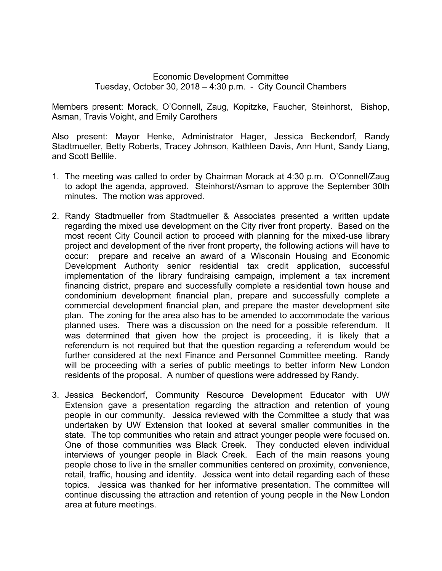## Economic Development Committee Tuesday, October 30, 2018 – 4:30 p.m. - City Council Chambers

Members present: Morack, O'Connell, Zaug, Kopitzke, Faucher, Steinhorst, Bishop, Asman, Travis Voight, and Emily Carothers

Also present: Mayor Henke, Administrator Hager, Jessica Beckendorf, Randy Stadtmueller, Betty Roberts, Tracey Johnson, Kathleen Davis, Ann Hunt, Sandy Liang, and Scott Bellile.

- 1. The meeting was called to order by Chairman Morack at 4:30 p.m. O'Connell/Zaug to adopt the agenda, approved. Steinhorst/Asman to approve the September 30th minutes. The motion was approved.
- 2. Randy Stadtmueller from Stadtmueller & Associates presented a written update regarding the mixed use development on the City river front property. Based on the most recent City Council action to proceed with planning for the mixed-use library project and development of the river front property, the following actions will have to occur: prepare and receive an award of a Wisconsin Housing and Economic Development Authority senior residential tax credit application, successful implementation of the library fundraising campaign, implement a tax increment financing district, prepare and successfully complete a residential town house and condominium development financial plan, prepare and successfully complete a commercial development financial plan, and prepare the master development site plan. The zoning for the area also has to be amended to accommodate the various planned uses. There was a discussion on the need for a possible referendum. It was determined that given how the project is proceeding, it is likely that a referendum is not required but that the question regarding a referendum would be further considered at the next Finance and Personnel Committee meeting. Randy will be proceeding with a series of public meetings to better inform New London residents of the proposal. A number of questions were addressed by Randy.
- 3. Jessica Beckendorf, Community Resource Development Educator with UW Extension gave a presentation regarding the attraction and retention of young people in our community. Jessica reviewed with the Committee a study that was undertaken by UW Extension that looked at several smaller communities in the state. The top communities who retain and attract younger people were focused on. One of those communities was Black Creek. They conducted eleven individual interviews of younger people in Black Creek. Each of the main reasons young people chose to live in the smaller communities centered on proximity, convenience, retail, traffic, housing and identity. Jessica went into detail regarding each of these topics. Jessica was thanked for her informative presentation. The committee will continue discussing the attraction and retention of young people in the New London area at future meetings.